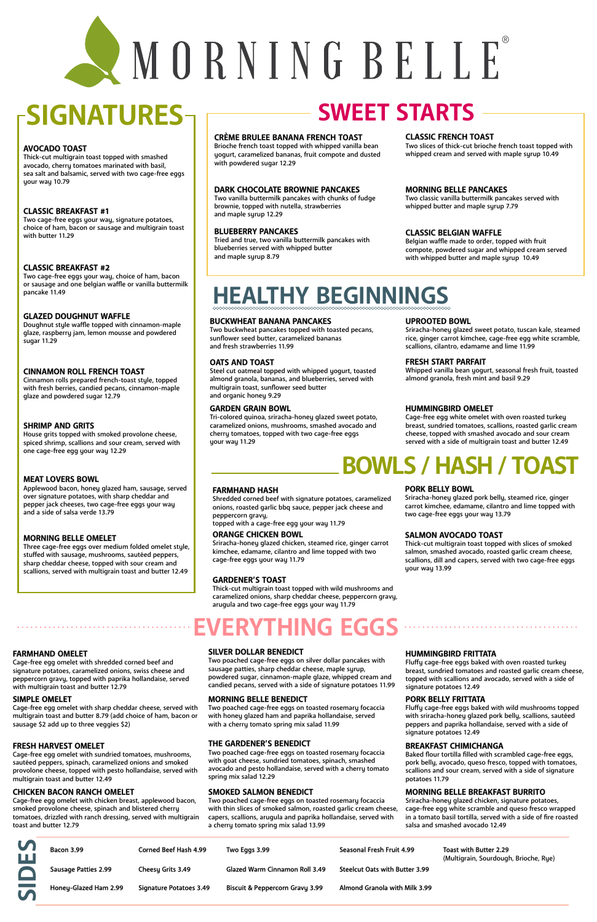### **FARMHAND OMELET**

Cage-free egg omelet with shredded corned beef and signature potatoes, caramelized onions, swiss cheese and

peppercorn gravy, topped with paprika hollandaise, served with multigrain toast and butter 12.79

### **SILVER DOLLAR BENEDICT**

Two poached cage-free eggs on silver dollar pancakes with sausage patties, sharp cheddar cheese, maple syrup,

powdered sugar, cinnamon-maple glaze, whipped cream and candied pecans, served with a side of signature potatoes 11.99

### **HUMMINGBIRD FRITTATA**

Fluffy cage-free eggs baked with oven roasted turkey breast, sundried tomatoes and roasted garlic cream cheese, topped with scallions and avocado, served with a side of signature potatoes 12.49

### **SIMPLE OMELET**

Cage-free egg omelet with sharp cheddar cheese, served with multigrain toast and butter 8.79 (add choice of ham, bacon or sausage \$2 add up to three veggies \$2)

#### **MORNING BELLE BENEDICT**

Two poached cage-free eggs on toasted rosemary focaccia with honey glazed ham and paprika hollandaise, served with a cherry tomato spring mix salad 11.99

### **PORK BELLY FRITTATA**

Fluffy cage-free eggs baked with wild mushrooms topped with sriracha-honey glazed pork belly, scallions, sautéed peppers and paprika hollandaise, served with a side of signature potatoes 12.49

### **FRESH HARVEST OMELET**

Cage-free egg omelet with sundried tomatoes, mushrooms, sautéed peppers, spinach, caramelized onions and smoked provolone cheese, topped with pesto hollandaise, served with multigrain toast and butter 12.49

### **THE GARDENER'S BENEDICT**

Two poached cage-free eggs on toasted rosemary focaccia with goat cheese, sundried tomatoes, spinach, smashed avocado and pesto hollandaise, served with a cherry tomato spring mix salad 12.29

### **BREAKFAST CHIMICHANGA**

Baked flour tortilla filled with scrambled cage-free eggs, pork belly, avocado, queso fresco, topped with tomatoes, scallions and sour cream, served with a side of signature potatoes 11.79

### **CHICKEN BACON RANCH OMELET**

Cage-free egg omelet with chicken breast, applewood bacon, smoked provolone cheese, spinach and blistered cherry tomatoes, drizzled with ranch dressing, served with multigrain toast and butter 12.79

### **SMOKED SALMON BENEDICT**

Two poached cage-free eggs on toasted rosemary focaccia with thin slices of smoked salmon, roasted garlic cream cheese, capers, scallions, arugula and paprika hollandaise, served with a cherry tomato spring mix salad 13.99

### **MORNING BELLE BREAKFAST BURRITO**

Sriracha-honey glazed chicken, signature potatoes, cage-free egg white scramble and queso fresco wrapped in a tomato basil tortilla, served with a side of fire roasted salsa and smashed avocado 12.49

# NORNING BELLE®

# **SIGNATURES**

### **AVOCADO TOAST**

Thick-cut multigrain toast topped with smashed avocado, cherry tomatoes marinated with basil, sea salt and balsamic, served with two cage-free eggs your way 10.79

### **CLASSIC BREAKFAST #1**

Two cage-free eggs your way, signature potatoes, choice of ham, bacon or sausage and multigrain toast with butter 11.29

### **CLASSIC BREAKFAST #2**

Two cage-free eggs your way, choice of ham, bacon or sausage and one belgian waffle or vanilla buttermilk pancake 11.49

### **GLAZED DOUGHNUT WAFFLE**

Doughnut style waffle topped with cinnamon-maple glaze, raspberry jam, lemon mousse and powdered sugar 11.29

### **CINNAMON ROLL FRENCH TOAST**

Cinnamon rolls prepared french-toast style, topped with fresh berries, candied pecans, cinnamon-maple glaze and powdered sugar 12.79

### **SHRIMP AND GRITS**

House grits topped with smoked provolone cheese, spiced shrimp, scallions and sour cream, served with one cage-free egg your way 12.29

### **MEAT LOVERS BOWL**

Applewood bacon, honey glazed ham, sausage, served over signature potatoes, with sharp cheddar and pepper jack cheeses, two cage-free eggs your way and a side of salsa verde 13.79

### **MORNING BELLE OMELET**

Three cage-free eggs over medium folded omelet style, stuffed with sausage, mushrooms, sautéed peppers, sharp cheddar cheese, topped with sour cream and scallions, served with multigrain toast and butter 12.49

### **FARMHAND HASH**

Shredded corned beef with signature potatoes, caramelized onions, roasted garlic bbq sauce, pepper jack cheese and peppercorn gravy,

topped with a cage-free egg your way 11.79

### **PORK BELLY BOWL**

Sriracha-honey glazed pork belly, steamed rice, ginger carrot kimchee, edamame, cilantro and lime topped with two cage-free eggs your way 13.79

#### **ORANGE CHICKEN BOWL**

Sriracha-honey glazed chicken, steamed rice, ginger carrot kimchee, edamame, cilantro and lime topped with two cage-free eggs your way 11.79

### **SALMON AVOCADO TOAST**

Thick-cut multigrain toast topped with slices of smoked salmon, smashed avocado, roasted garlic cream cheese, scallions, dill and capers, served with two cage-free eggs your way 13.99

### **GARDENER'S TOAST**

Thick-cut multigrain toast topped with wild mushrooms and caramelized onions, sharp cheddar cheese, peppercorn gravy, arugula and two cage-free eggs your way 11.79

### **ERYTHING EGGS**

# **BOWLS / HASH / TOAST**

### **BUCKWHEAT BANANA PANCAKES**

Two buckwheat pancakes topped with toasted pecans, sunflower seed butter, caramelized bananas and fresh strawberries 11.99

#### **UPROOTED BOWL**

Sriracha-honey glazed sweet potato, tuscan kale, steamed rice, ginger carrot kimchee, cage-free egg white scramble, scallions, cilantro, edamame and lime 11.99

### **OATS AND TOAST**

Steel cut oatmeal topped with whipped yogurt, toasted almond granola, bananas, and blueberries, served with multigrain toast, sunflower seed butter and organic honey 9.29

### **FRESH START PARFAIT**

Whipped vanilla bean yogurt, seasonal fresh fruit, toasted almond granola, fresh mint and basil 9.29

### **GARDEN GRAIN BOWL**

Tri-colored quinoa, sriracha-honey glazed sweet potato, caramelized onions, mushrooms, smashed avocado and cherry tomatoes, topped with two cage-free eggs your way 11.29

### **HUMMINGBIRD OMELET**

Cage-free egg white omelet with oven roasted turkey breast, sundried tomatoes, scallions, roasted garlic cream cheese, topped with smashed avocado and sour cream served with a side of multigrain toast and butter 12.49

# **HEALTHY BEGINNINGS**

### **CRÈME BRULEE BANANA FRENCH TOAST**

Brioche french toast topped with whipped vanilla bean yogurt, caramelized bananas, fruit compote and dusted with powdered sugar 12.29

### **CLASSIC FRENCH TOAST**

Two slices of thick-cut brioche french toast topped with whipped cream and served with maple syrup 10.49

 $\frac{1}{2}$ 

### **DARK CHOCOLATE BROWNIE PANCAKES**

Two vanilla buttermilk pancakes with chunks of fudge brownie, topped with nutella, strawberries and maple syrup 12.29

### **MORNING BELLE PANCAKES**

Two classic vanilla buttermilk pancakes served with whipped butter and maple syrup 7.79

### **BLUEBERRY PANCAKES**

Tried and true, two vanilla buttermilk pancakes with blueberries served with whipped butter and maple syrup 8.79

### **CLASSIC BELGIAN WAFFLE**

Belgian waffle made to order, topped with fruit compote, powdered sugar and whipped cream served with whipped butter and maple syrup 10.49

### **SWEET STARTS**

| V            | <b>Bacon 3.99</b>           | <b>Corned Beef Hash 4.99</b>   | Two Eggs 3.99                              | Seasonal Fresh Fruit 4.99             | Toast with Butter 2.29<br>(Multigrain, Sourdough, Brioche, Rye) |
|--------------|-----------------------------|--------------------------------|--------------------------------------------|---------------------------------------|-----------------------------------------------------------------|
|              | <b>Sausage Patties 2.99</b> | <b>Cheesy Grits 3.49</b>       | <b>Glazed Warm Cinnamon Roll 3.49</b>      | <b>Steelcut Oats with Butter 3.99</b> |                                                                 |
| $\mathbf{V}$ | Honey-Glazed Ham 2.99       | <b>Signature Potatoes 3.49</b> | <b>Biscuit &amp; Peppercorn Gravy 3.99</b> | Almond Granola with Milk 3.99         |                                                                 |